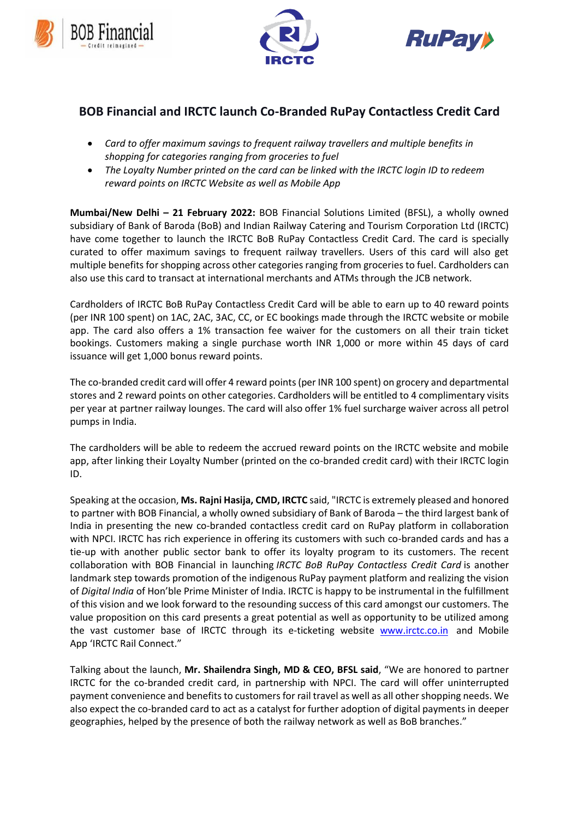





## **BOB Financial and IRCTC launch Co-Branded RuPay Contactless Credit Card**

- *Card to offer maximum savings to frequent railway travellers and multiple benefits in shopping for categories ranging from groceries to fuel*
- *The Loyalty Number printed on the card can be linked with the IRCTC login ID to redeem reward points on IRCTC Website as well as Mobile App*

**Mumbai/New Delhi – 21 February 2022:** BOB Financial Solutions Limited (BFSL), a wholly owned subsidiary of Bank of Baroda (BoB) and Indian Railway Catering and Tourism Corporation Ltd (IRCTC) have come together to launch the IRCTC BoB RuPay Contactless Credit Card. The card is specially curated to offer maximum savings to frequent railway travellers. Users of this card will also get multiple benefits for shopping across other categories ranging from groceries to fuel. Cardholders can also use this card to transact at international merchants and ATMs through the JCB network.

Cardholders of IRCTC BoB RuPay Contactless Credit Card will be able to earn up to 40 reward points (per INR 100 spent) on 1AC, 2AC, 3AC, CC, or EC bookings made through the IRCTC website or mobile app. The card also offers a 1% transaction fee waiver for the customers on all their train ticket bookings. Customers making a single purchase worth INR 1,000 or more within 45 days of card issuance will get 1,000 bonus reward points.

The co-branded credit card will offer 4 reward points (per INR 100 spent) on grocery and departmental stores and 2 reward points on other categories. Cardholders will be entitled to 4 complimentary visits per year at partner railway lounges. The card will also offer 1% fuel surcharge waiver across all petrol pumps in India.

The cardholders will be able to redeem the accrued reward points on the IRCTC website and mobile app, after linking their Loyalty Number (printed on the co-branded credit card) with their IRCTC login ID.

Speaking at the occasion, **Ms. Rajni Hasija, CMD, IRCTC** said, "IRCTC is extremely pleased and honored to partner with BOB Financial, a wholly owned subsidiary of Bank of Baroda – the third largest bank of India in presenting the new co-branded contactless credit card on RuPay platform in collaboration with NPCI. IRCTC has rich experience in offering its customers with such co-branded cards and has a tie-up with another public sector bank to offer its loyalty program to its customers. The recent collaboration with BOB Financial in launching *IRCTC BoB RuPay Contactless Credit Card* is another landmark step towards promotion of the indigenous RuPay payment platform and realizing the vision of *Digital India* of Hon'ble Prime Minister of India. IRCTC is happy to be instrumental in the fulfillment of this vision and we look forward to the resounding success of this card amongst our customers. The value proposition on this card presents a great potential as well as opportunity to be utilized among the vast customer base of IRCTC through its e-ticketing website [www.irctc.co.in](http://www.irctc.co.in/) and Mobile App 'IRCTC Rail Connect."

Talking about the launch, **Mr. Shailendra Singh, MD & CEO, BFSL said**, "We are honored to partner IRCTC for the co-branded credit card, in partnership with NPCI. The card will offer uninterrupted payment convenience and benefits to customers for rail travel as well as all other shopping needs. We also expect the co-branded card to act as a catalyst for further adoption of digital payments in deeper geographies, helped by the presence of both the railway network as well as BoB branches."